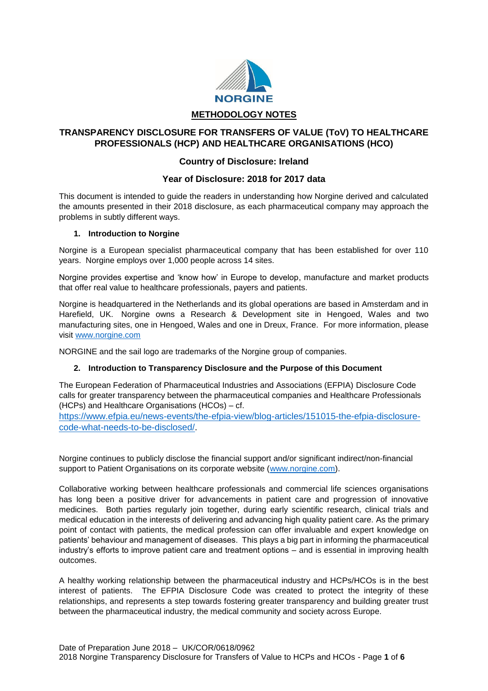

# **TRANSPARENCY DISCLOSURE FOR TRANSFERS OF VALUE (ToV) TO HEALTHCARE PROFESSIONALS (HCP) AND HEALTHCARE ORGANISATIONS (HCO)**

# **Country of Disclosure: Ireland**

## **Year of Disclosure: 2018 for 2017 data**

This document is intended to guide the readers in understanding how Norgine derived and calculated the amounts presented in their 2018 disclosure, as each pharmaceutical company may approach the problems in subtly different ways.

#### **1. Introduction to Norgine**

Norgine is a European specialist pharmaceutical company that has been established for over 110 years. Norgine employs over 1,000 people across 14 sites.

Norgine provides expertise and 'know how' in Europe to develop, manufacture and market products that offer real value to healthcare professionals, payers and patients.

Norgine is headquartered in the Netherlands and its global operations are based in Amsterdam and in Harefield, UK. Norgine owns a Research & Development site in Hengoed, Wales and two manufacturing sites, one in Hengoed, Wales and one in Dreux, France. For more information, please visit [www.norgine.com](http://www.norgine.com/)

NORGINE and the sail logo are trademarks of the Norgine group of companies.

#### **2. Introduction to Transparency Disclosure and the Purpose of this Document**

The European Federation of Pharmaceutical Industries and Associations (EFPIA) Disclosure Code calls for greater transparency between the pharmaceutical companies and Healthcare Professionals (HCPs) and Healthcare Organisations (HCOs) – cf.

[https://www.efpia.eu/news-events/the-efpia-view/blog-articles/151015-the-efpia-disclosure](https://www.efpia.eu/news-events/the-efpia-view/blog-articles/151015-the-efpia-disclosure-code-what-needs-to-be-disclosed/)[code-what-needs-to-be-disclosed/.](https://www.efpia.eu/news-events/the-efpia-view/blog-articles/151015-the-efpia-disclosure-code-what-needs-to-be-disclosed/)

Norgine continues to publicly disclose the financial support and/or significant indirect/non-financial support to Patient Organisations on its corporate website [\(www.norgine.com\)](http://www.norgine.com/).

Collaborative working between healthcare professionals and commercial life sciences organisations has long been a positive driver for advancements in patient care and progression of innovative medicines. Both parties regularly join together, during early scientific research, clinical trials and medical education in the interests of delivering and advancing high quality patient care. As the primary point of contact with patients, the medical profession can offer invaluable and expert knowledge on patients' behaviour and management of diseases. This plays a big part in informing the pharmaceutical industry's efforts to improve patient care and treatment options – and is essential in improving health outcomes.

A healthy working relationship between the pharmaceutical industry and HCPs/HCOs is in the best interest of patients. The EFPIA Disclosure Code was created to protect the integrity of these relationships, and represents a step towards fostering greater transparency and building greater trust between the pharmaceutical industry, the medical community and society across Europe.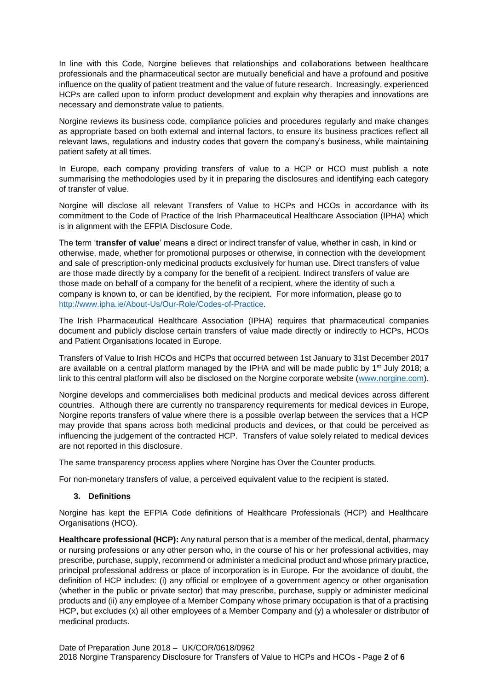In line with this Code, Norgine believes that relationships and collaborations between healthcare professionals and the pharmaceutical sector are mutually beneficial and have a profound and positive influence on the quality of patient treatment and the value of future research. Increasingly, experienced HCPs are called upon to inform product development and explain why therapies and innovations are necessary and demonstrate value to patients.

Norgine reviews its business code, compliance policies and procedures regularly and make changes as appropriate based on both external and internal factors, to ensure its business practices reflect all relevant laws, regulations and industry codes that govern the company's business, while maintaining patient safety at all times.

In Europe, each company providing transfers of value to a HCP or HCO must publish a note summarising the methodologies used by it in preparing the disclosures and identifying each category of transfer of value.

Norgine will disclose all relevant Transfers of Value to HCPs and HCOs in accordance with its commitment to the Code of Practice of the Irish Pharmaceutical Healthcare Association (IPHA) which is in alignment with the EFPIA Disclosure Code.

The term '**transfer of value**' means a direct or indirect transfer of value, whether in cash, in kind or otherwise, made, whether for promotional purposes or otherwise, in connection with the development and sale of prescription-only medicinal products exclusively for human use. Direct transfers of value are those made directly by a company for the benefit of a recipient. Indirect transfers of value are those made on behalf of a company for the benefit of a recipient, where the identity of such a company is known to, or can be identified, by the recipient. For more information, please go to [http://www.ipha.ie/About-Us/Our-Role/Codes-of-Practice.](http://www.ipha.ie/About-Us/Our-Role/Codes-of-Practice)

The Irish Pharmaceutical Healthcare Association (IPHA) requires that pharmaceutical companies document and publicly disclose certain transfers of value made directly or indirectly to HCPs, HCOs and Patient Organisations located in Europe.

Transfers of Value to Irish HCOs and HCPs that occurred between 1st January to 31st December 2017 are available on a central platform managed by the IPHA and will be made public by  $1<sup>st</sup>$  July 2018; a link to this central platform will also be disclosed on the Norgine corporate website [\(www.norgine.com\)](http://www.norgine.com/).

Norgine develops and commercialises both medicinal products and medical devices across different countries. Although there are currently no transparency requirements for medical devices in Europe, Norgine reports transfers of value where there is a possible overlap between the services that a HCP may provide that spans across both medicinal products and devices, or that could be perceived as influencing the judgement of the contracted HCP. Transfers of value solely related to medical devices are not reported in this disclosure.

The same transparency process applies where Norgine has Over the Counter products.

For non-monetary transfers of value, a perceived equivalent value to the recipient is stated.

#### **3. Definitions**

Norgine has kept the EFPIA Code definitions of Healthcare Professionals (HCP) and Healthcare Organisations (HCO).

**Healthcare professional (HCP):** Any natural person that is a member of the medical, dental, pharmacy or nursing professions or any other person who, in the course of his or her professional activities, may prescribe, purchase, supply, recommend or administer a medicinal product and whose primary practice, principal professional address or place of incorporation is in Europe. For the avoidance of doubt, the definition of HCP includes: (i) any official or employee of a government agency or other organisation (whether in the public or private sector) that may prescribe, purchase, supply or administer medicinal products and (ii) any employee of a Member Company whose primary occupation is that of a practising HCP, but excludes (x) all other employees of a Member Company and (y) a wholesaler or distributor of medicinal products.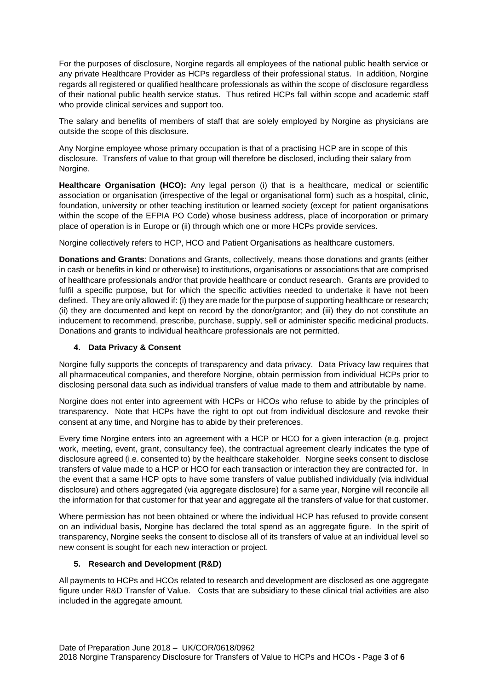For the purposes of disclosure, Norgine regards all employees of the national public health service or any private Healthcare Provider as HCPs regardless of their professional status. In addition, Norgine regards all registered or qualified healthcare professionals as within the scope of disclosure regardless of their national public health service status. Thus retired HCPs fall within scope and academic staff who provide clinical services and support too.

The salary and benefits of members of staff that are solely employed by Norgine as physicians are outside the scope of this disclosure.

Any Norgine employee whose primary occupation is that of a practising HCP are in scope of this disclosure. Transfers of value to that group will therefore be disclosed, including their salary from Norgine.

**Healthcare Organisation (HCO):** Any legal person (i) that is a healthcare, medical or scientific association or organisation (irrespective of the legal or organisational form) such as a hospital, clinic, foundation, university or other teaching institution or learned society (except for patient organisations within the scope of the EFPIA PO Code) whose business address, place of incorporation or primary place of operation is in Europe or (ii) through which one or more HCPs provide services.

Norgine collectively refers to HCP, HCO and Patient Organisations as healthcare customers.

**Donations and Grants**: Donations and Grants, collectively, means those donations and grants (either in cash or benefits in kind or otherwise) to institutions, organisations or associations that are comprised of healthcare professionals and/or that provide healthcare or conduct research. Grants are provided to fulfil a specific purpose, but for which the specific activities needed to undertake it have not been defined. They are only allowed if: (i) they are made for the purpose of supporting healthcare or research; (ii) they are documented and kept on record by the donor/grantor; and (iii) they do not constitute an inducement to recommend, prescribe, purchase, supply, sell or administer specific medicinal products. Donations and grants to individual healthcare professionals are not permitted.

## **4. Data Privacy & Consent**

Norgine fully supports the concepts of transparency and data privacy. Data Privacy law requires that all pharmaceutical companies, and therefore Norgine, obtain permission from individual HCPs prior to disclosing personal data such as individual transfers of value made to them and attributable by name.

Norgine does not enter into agreement with HCPs or HCOs who refuse to abide by the principles of transparency. Note that HCPs have the right to opt out from individual disclosure and revoke their consent at any time, and Norgine has to abide by their preferences.

Every time Norgine enters into an agreement with a HCP or HCO for a given interaction (e.g. project work, meeting, event, grant, consultancy fee), the contractual agreement clearly indicates the type of disclosure agreed (i.e. consented to) by the healthcare stakeholder. Norgine seeks consent to disclose transfers of value made to a HCP or HCO for each transaction or interaction they are contracted for. In the event that a same HCP opts to have some transfers of value published individually (via individual disclosure) and others aggregated (via aggregate disclosure) for a same year, Norgine will reconcile all the information for that customer for that year and aggregate all the transfers of value for that customer.

Where permission has not been obtained or where the individual HCP has refused to provide consent on an individual basis, Norgine has declared the total spend as an aggregate figure. In the spirit of transparency, Norgine seeks the consent to disclose all of its transfers of value at an individual level so new consent is sought for each new interaction or project.

#### **5. Research and Development (R&D)**

All payments to HCPs and HCOs related to research and development are disclosed as one aggregate figure under R&D Transfer of Value. Costs that are subsidiary to these clinical trial activities are also included in the aggregate amount.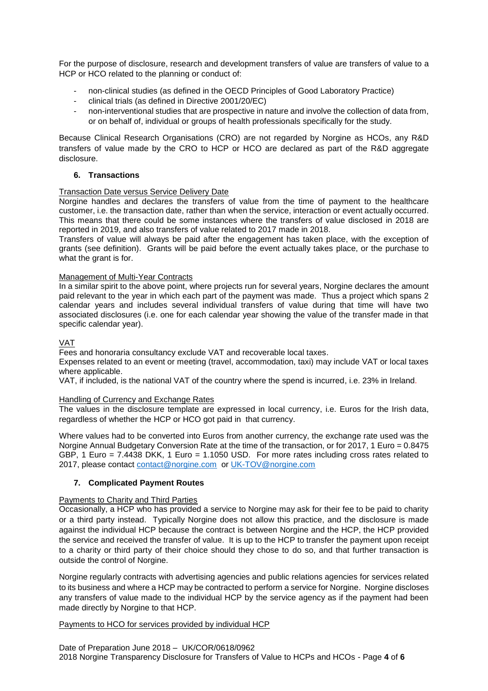For the purpose of disclosure, research and development transfers of value are transfers of value to a HCP or HCO related to the planning or conduct of:

- non-clinical studies (as defined in the OECD Principles of Good Laboratory Practice)
- clinical trials (as defined in Directive 2001/20/EC)
- non-interventional studies that are prospective in nature and involve the collection of data from, or on behalf of, individual or groups of health professionals specifically for the study.

Because Clinical Research Organisations (CRO) are not regarded by Norgine as HCOs, any R&D transfers of value made by the CRO to HCP or HCO are declared as part of the R&D aggregate disclosure.

### **6. Transactions**

#### Transaction Date versus Service Delivery Date

Norgine handles and declares the transfers of value from the time of payment to the healthcare customer, i.e. the transaction date, rather than when the service, interaction or event actually occurred. This means that there could be some instances where the transfers of value disclosed in 2018 are reported in 2019, and also transfers of value related to 2017 made in 2018.

Transfers of value will always be paid after the engagement has taken place, with the exception of grants (see definition). Grants will be paid before the event actually takes place, or the purchase to what the grant is for.

#### Management of Multi-Year Contracts

In a similar spirit to the above point, where projects run for several years, Norgine declares the amount paid relevant to the year in which each part of the payment was made. Thus a project which spans 2 calendar years and includes several individual transfers of value during that time will have two associated disclosures (i.e. one for each calendar year showing the value of the transfer made in that specific calendar year).

### VAT

Fees and honoraria consultancy exclude VAT and recoverable local taxes.

Expenses related to an event or meeting (travel, accommodation, taxi) may include VAT or local taxes where applicable.

VAT, if included, is the national VAT of the country where the spend is incurred, i.e. 23% in Ireland.

#### Handling of Currency and Exchange Rates

The values in the disclosure template are expressed in local currency, i.e. Euros for the Irish data, regardless of whether the HCP or HCO got paid in that currency.

Where values had to be converted into Euros from another currency, the exchange rate used was the Norgine Annual Budgetary Conversion Rate at the time of the transaction, or for 2017, 1 Euro = 0.8475 GBP, 1 Euro = 7.4438 DKK, 1 Euro = 1.1050 USD. For more rates including cross rates related to 2017, please contact [contact@norgine.com](mailto:contact@norgine.com) o[r UK-TOV@norgine.com](mailto:UK-TOV@norgine.com)

#### **7. Complicated Payment Routes**

#### Payments to Charity and Third Parties

Occasionally, a HCP who has provided a service to Norgine may ask for their fee to be paid to charity or a third party instead. Typically Norgine does not allow this practice, and the disclosure is made against the individual HCP because the contract is between Norgine and the HCP, the HCP provided the service and received the transfer of value. It is up to the HCP to transfer the payment upon receipt to a charity or third party of their choice should they chose to do so, and that further transaction is outside the control of Norgine.

Norgine regularly contracts with advertising agencies and public relations agencies for services related to its business and where a HCP may be contracted to perform a service for Norgine. Norgine discloses any transfers of value made to the individual HCP by the service agency as if the payment had been made directly by Norgine to that HCP.

#### Payments to HCO for services provided by individual HCP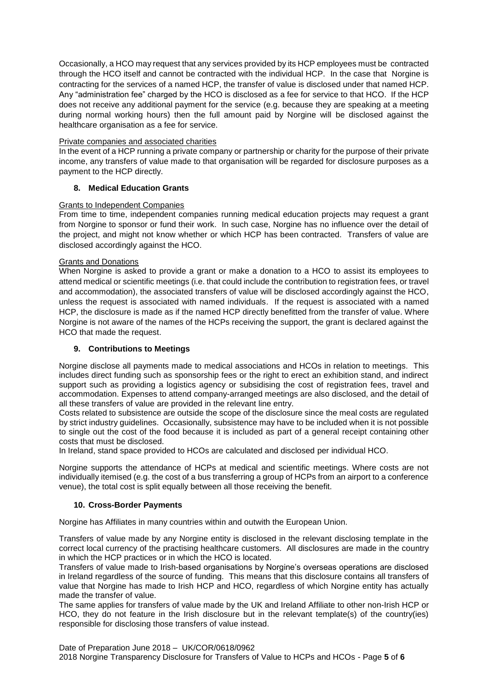Occasionally, a HCO may request that any services provided by its HCP employees must be contracted through the HCO itself and cannot be contracted with the individual HCP. In the case that Norgine is contracting for the services of a named HCP, the transfer of value is disclosed under that named HCP. Any "administration fee" charged by the HCO is disclosed as a fee for service to that HCO. If the HCP does not receive any additional payment for the service (e.g. because they are speaking at a meeting during normal working hours) then the full amount paid by Norgine will be disclosed against the healthcare organisation as a fee for service.

#### Private companies and associated charities

In the event of a HCP running a private company or partnership or charity for the purpose of their private income, any transfers of value made to that organisation will be regarded for disclosure purposes as a payment to the HCP directly.

## **8. Medical Education Grants**

#### Grants to Independent Companies

From time to time, independent companies running medical education projects may request a grant from Norgine to sponsor or fund their work. In such case, Norgine has no influence over the detail of the project, and might not know whether or which HCP has been contracted. Transfers of value are disclosed accordingly against the HCO.

#### Grants and Donations

When Norgine is asked to provide a grant or make a donation to a HCO to assist its employees to attend medical or scientific meetings (i.e. that could include the contribution to registration fees, or travel and accommodation), the associated transfers of value will be disclosed accordingly against the HCO, unless the request is associated with named individuals. If the request is associated with a named HCP, the disclosure is made as if the named HCP directly benefitted from the transfer of value. Where Norgine is not aware of the names of the HCPs receiving the support, the grant is declared against the HCO that made the request.

#### **9. Contributions to Meetings**

Norgine disclose all payments made to medical associations and HCOs in relation to meetings. This includes direct funding such as sponsorship fees or the right to erect an exhibition stand, and indirect support such as providing a logistics agency or subsidising the cost of registration fees, travel and accommodation. Expenses to attend company-arranged meetings are also disclosed, and the detail of all these transfers of value are provided in the relevant line entry.

Costs related to subsistence are outside the scope of the disclosure since the meal costs are regulated by strict industry guidelines. Occasionally, subsistence may have to be included when it is not possible to single out the cost of the food because it is included as part of a general receipt containing other costs that must be disclosed.

In Ireland, stand space provided to HCOs are calculated and disclosed per individual HCO.

Norgine supports the attendance of HCPs at medical and scientific meetings. Where costs are not individually itemised (e.g. the cost of a bus transferring a group of HCPs from an airport to a conference venue), the total cost is split equally between all those receiving the benefit.

#### **10. Cross-Border Payments**

Norgine has Affiliates in many countries within and outwith the European Union.

Transfers of value made by any Norgine entity is disclosed in the relevant disclosing template in the correct local currency of the practising healthcare customers. All disclosures are made in the country in which the HCP practices or in which the HCO is located.

Transfers of value made to Irish-based organisations by Norgine's overseas operations are disclosed in Ireland regardless of the source of funding. This means that this disclosure contains all transfers of value that Norgine has made to Irish HCP and HCO, regardless of which Norgine entity has actually made the transfer of value.

The same applies for transfers of value made by the UK and Ireland Affiliate to other non-Irish HCP or HCO, they do not feature in the Irish disclosure but in the relevant template(s) of the country(ies) responsible for disclosing those transfers of value instead.